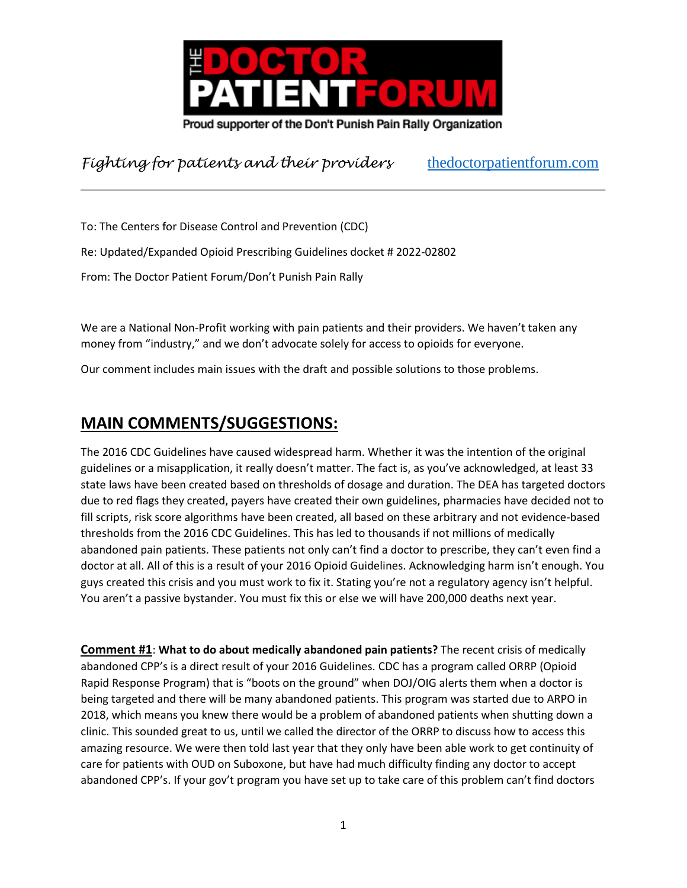

To: The Centers for Disease Control and Prevention (CDC) Re: Updated/Expanded Opioid Prescribing Guidelines docket # 2022-02802 From: The Doctor Patient Forum/Don't Punish Pain Rally

We are a National Non-Profit working with pain patients and their providers. We haven't taken any money from "industry," and we don't advocate solely for access to opioids for everyone.

Our comment includes main issues with the draft and possible solutions to those problems.

# **MAIN COMMENTS/SUGGESTIONS:**

The 2016 CDC Guidelines have caused widespread harm. Whether it was the intention of the original guidelines or a misapplication, it really doesn't matter. The fact is, as you've acknowledged, at least 33 state laws have been created based on thresholds of dosage and duration. The DEA has targeted doctors due to red flags they created, payers have created their own guidelines, pharmacies have decided not to fill scripts, risk score algorithms have been created, all based on these arbitrary and not evidence-based thresholds from the 2016 CDC Guidelines. This has led to thousands if not millions of medically abandoned pain patients. These patients not only can't find a doctor to prescribe, they can't even find a doctor at all. All of this is a result of your 2016 Opioid Guidelines. Acknowledging harm isn't enough. You guys created this crisis and you must work to fix it. Stating you're not a regulatory agency isn't helpful. You aren't a passive bystander. You must fix this or else we will have 200,000 deaths next year.

**Comment #1**: **What to do about medically abandoned pain patients?** The recent crisis of medically abandoned CPP's is a direct result of your 2016 Guidelines. CDC has a program called ORRP (Opioid Rapid Response Program) that is "boots on the ground" when DOJ/OIG alerts them when a doctor is being targeted and there will be many abandoned patients. This program was started due to ARPO in 2018, which means you knew there would be a problem of abandoned patients when shutting down a clinic. This sounded great to us, until we called the director of the ORRP to discuss how to access this amazing resource. We were then told last year that they only have been able work to get continuity of care for patients with OUD on Suboxone, but have had much difficulty finding any doctor to accept abandoned CPP's. If your gov't program you have set up to take care of this problem can't find doctors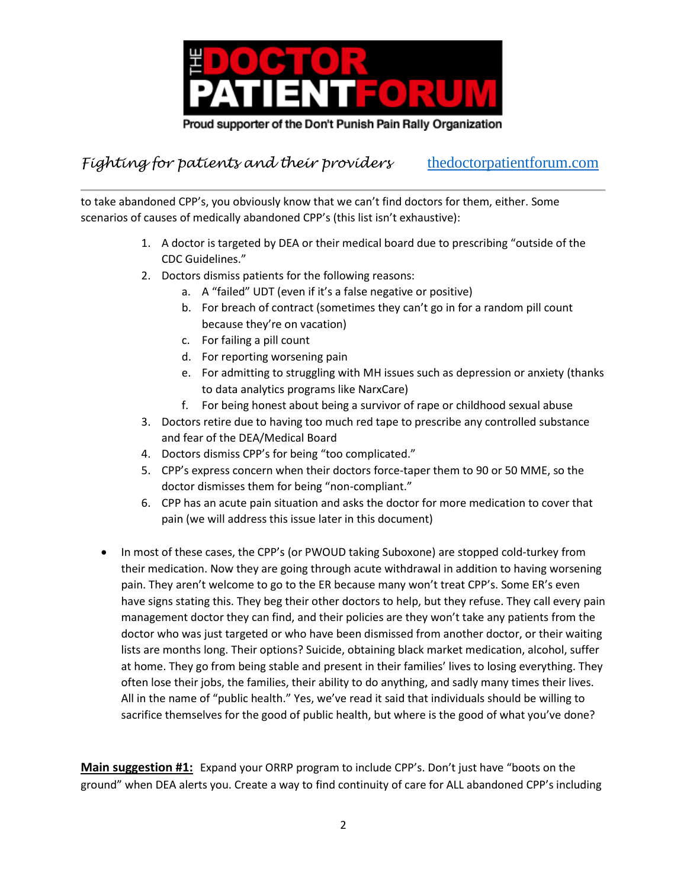

to take abandoned CPP's, you obviously know that we can't find doctors for them, either. Some scenarios of causes of medically abandoned CPP's (this list isn't exhaustive):

- 1. A doctor is targeted by DEA or their medical board due to prescribing "outside of the CDC Guidelines."
- 2. Doctors dismiss patients for the following reasons:
	- a. A "failed" UDT (even if it's a false negative or positive)
	- b. For breach of contract (sometimes they can't go in for a random pill count because they're on vacation)
	- c. For failing a pill count
	- d. For reporting worsening pain
	- e. For admitting to struggling with MH issues such as depression or anxiety (thanks to data analytics programs like NarxCare)
	- f. For being honest about being a survivor of rape or childhood sexual abuse
- 3. Doctors retire due to having too much red tape to prescribe any controlled substance and fear of the DEA/Medical Board
- 4. Doctors dismiss CPP's for being "too complicated."
- 5. CPP's express concern when their doctors force-taper them to 90 or 50 MME, so the doctor dismisses them for being "non-compliant."
- 6. CPP has an acute pain situation and asks the doctor for more medication to cover that pain (we will address this issue later in this document)
- In most of these cases, the CPP's (or PWOUD taking Suboxone) are stopped cold-turkey from their medication. Now they are going through acute withdrawal in addition to having worsening pain. They aren't welcome to go to the ER because many won't treat CPP's. Some ER's even have signs stating this. They beg their other doctors to help, but they refuse. They call every pain management doctor they can find, and their policies are they won't take any patients from the doctor who was just targeted or who have been dismissed from another doctor, or their waiting lists are months long. Their options? Suicide, obtaining black market medication, alcohol, suffer at home. They go from being stable and present in their families' lives to losing everything. They often lose their jobs, the families, their ability to do anything, and sadly many times their lives. All in the name of "public health." Yes, we've read it said that individuals should be willing to sacrifice themselves for the good of public health, but where is the good of what you've done?

**Main suggestion #1:** Expand your ORRP program to include CPP's. Don't just have "boots on the ground" when DEA alerts you. Create a way to find continuity of care for ALL abandoned CPP's including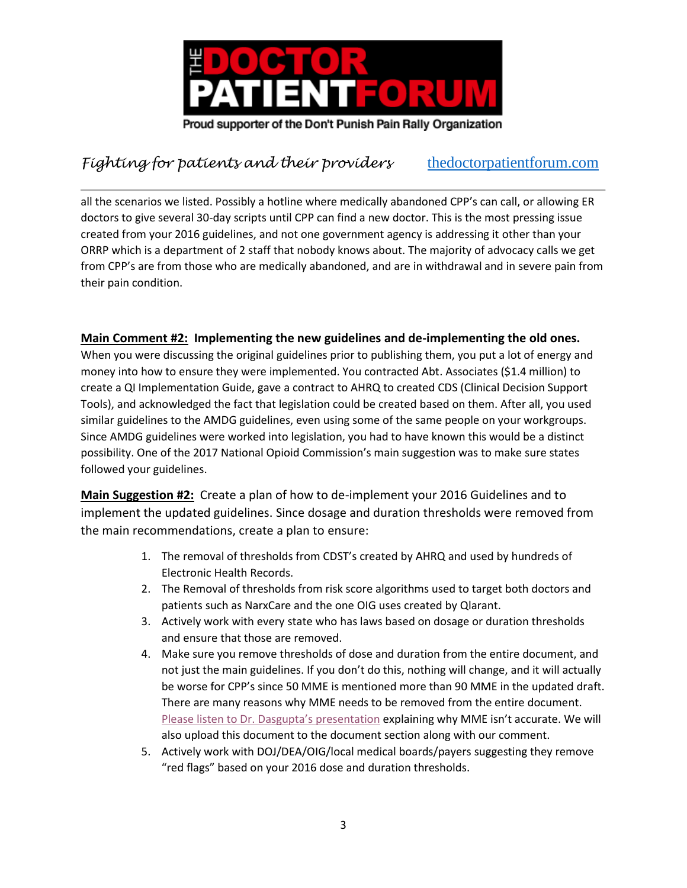

all the scenarios we listed. Possibly a hotline where medically abandoned CPP's can call, or allowing ER doctors to give several 30-day scripts until CPP can find a new doctor. This is the most pressing issue created from your 2016 guidelines, and not one government agency is addressing it other than your ORRP which is a department of 2 staff that nobody knows about. The majority of advocacy calls we get from CPP's are from those who are medically abandoned, and are in withdrawal and in severe pain from their pain condition.

#### **Main Comment #2: Implementing the new guidelines and de-implementing the old ones.**

When you were discussing the original guidelines prior to publishing them, you put a lot of energy and money into how to ensure they were implemented. You contracted Abt. Associates (\$1.4 million) to create a QI Implementation Guide, gave a contract to AHRQ to created CDS (Clinical Decision Support Tools), and acknowledged the fact that legislation could be created based on them. After all, you used similar guidelines to the AMDG guidelines, even using some of the same people on your workgroups. Since AMDG guidelines were worked into legislation, you had to have known this would be a distinct possibility. One of the 2017 National Opioid Commission's main suggestion was to make sure states followed your guidelines.

**Main Suggestion #2:** Create a plan of how to de-implement your 2016 Guidelines and to implement the updated guidelines. Since dosage and duration thresholds were removed from the main recommendations, create a plan to ensure:

- 1. The removal of thresholds from CDST's created by AHRQ and used by hundreds of Electronic Health Records.
- 2. The Removal of thresholds from risk score algorithms used to target both doctors and patients such as NarxCare and the one OIG uses created by Qlarant.
- 3. Actively work with every state who has laws based on dosage or duration thresholds and ensure that those are removed.
- 4. Make sure you remove thresholds of dose and duration from the entire document, and not just the main guidelines. If you don't do this, nothing will change, and it will actually be worse for CPP's since 50 MME is mentioned more than 90 MME in the updated draft. There are many reasons why MME needs to be removed from the entire document. [Please listen to Dr. Dasgupta's presentation](https://collaboration.fda.gov/pbyvk2jfr8x4/) explaining why MME isn't accurate. We will also upload this document to the document section along with our comment.
- 5. Actively work with DOJ/DEA/OIG/local medical boards/payers suggesting they remove "red flags" based on your 2016 dose and duration thresholds.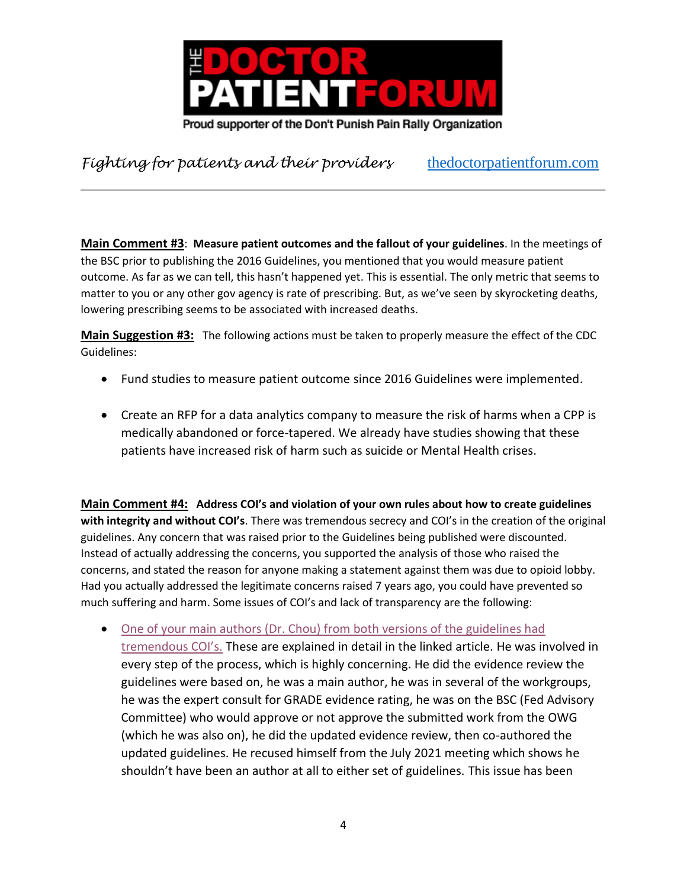

**Main Comment #3**: **Measure patient outcomes and the fallout of your guidelines**. In the meetings of the BSC prior to publishing the 2016 Guidelines, you mentioned that you would measure patient outcome. As far as we can tell, this hasn't happened yet. This is essential. The only metric that seems to matter to you or any other gov agency is rate of prescribing. But, as we've seen by skyrocketing deaths, lowering prescribing seems to be associated with increased deaths.

**Main Suggestion #3:** The following actions must be taken to properly measure the effect of the CDC Guidelines:

- Fund studies to measure patient outcome since 2016 Guidelines were implemented.
- Create an RFP for a data analytics company to measure the risk of harms when a CPP is medically abandoned or force-tapered. We already have studies showing that these patients have increased risk of harm such as suicide or Mental Health crises.

**Main Comment #4: Address COI's and violation of your own rules about how to create guidelines with integrity and without COI's**. There was tremendous secrecy and COI's in the creation of the original guidelines. Any concern that was raised prior to the Guidelines being published were discounted. Instead of actually addressing the concerns, you supported the analysis of those who raised the concerns, and stated the reason for anyone making a statement against them was due to opioid lobby. Had you actually addressed the legitimate concerns raised 7 years ago, you could have prevented so much suffering and harm. Some issues of COI's and lack of transparency are the following:

• [One of your main authors \(Dr. Chou\) from both versions of the guidelines had](https://www.pallimed.org/2021/09/roger-chous-undisclosed-conflicts-of.html)  [tremendous COI's.](https://www.pallimed.org/2021/09/roger-chous-undisclosed-conflicts-of.html) These are explained in detail in the linked article. He was involved in every step of the process, which is highly concerning. He did the evidence review the guidelines were based on, he was a main author, he was in several of the workgroups, he was the expert consult for GRADE evidence rating, he was on the BSC (Fed Advisory Committee) who would approve or not approve the submitted work from the OWG (which he was also on), he did the updated evidence review, then co-authored the updated guidelines. He recused himself from the July 2021 meeting which shows he shouldn't have been an author at all to either set of guidelines. This issue has been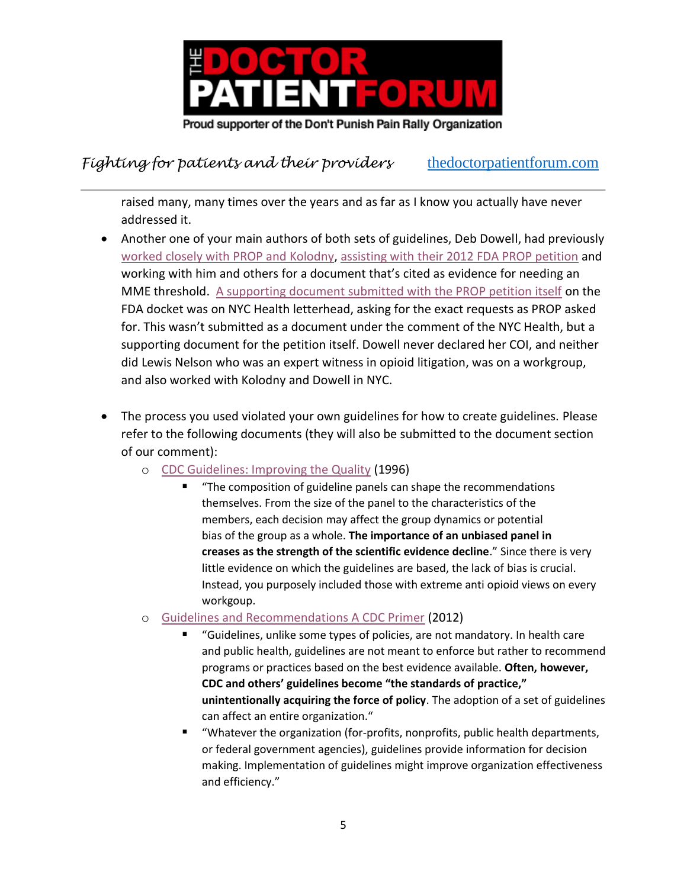

raised many, many times over the years and as far as I know you actually have never addressed it.

- Another one of your main authors of both sets of guidelines, Deb Dowell, had previously [worked closely with PROP and Kolodny,](https://d.docs.live.net/7a4eb9d38499820d/Documents/NYC%20Health%20document%20Kolodny%20and%20Dowell%202011.pdf) [assisting with their 2012 FDA PROP petition](https://d.docs.live.net/7a4eb9d38499820d/Documents/Dowell%20supporting%20PROP%20petition%20FDA%20meeting.pdf) and working with him and others for a document that's cited as evidence for needing an MME threshold. [A supporting document submitted with the PROP petition itself](https://d.docs.live.net/7a4eb9d38499820d/Documents/PROP%20petition%20supporting%20document.pdf) on the FDA docket was on NYC Health letterhead, asking for the exact requests as PROP asked for. This wasn't submitted as a document under the comment of the NYC Health, but a supporting document for the petition itself. Dowell never declared her COI, and neither did Lewis Nelson who was an expert witness in opioid litigation, was on a workgroup, and also worked with Kolodny and Dowell in NYC.
- The process you used violated your own guidelines for how to create guidelines. Please refer to the following documents (they will also be submitted to the document section of our comment):
	- o [CDC Guidelines: Improving the Quality](https://stacks.cdc.gov/view/cdc/24407) (1996)
		- "The composition of guideline panels can shape the recommendations themselves. From the size of the panel to the characteristics of the members, each decision may affect the group dynamics or potential bias of the group as a whole. **The importance of an unbiased panel in creases as the strength of the scientific evidence decline**." Since there is very little evidence on which the guidelines are based, the lack of bias is crucial. Instead, you purposely included those with extreme anti opioid views on every workgoup.
	- o [Guidelines and Recommendations A CDC Primer](https://stacks.cdc.gov/view/cdc/81408) (2012)
		- "Guidelines, unlike some types of policies, are not mandatory. In health care and public health, guidelines are not meant to enforce but rather to recommend programs or practices based on the best evidence available. **Often, however, CDC and others' guidelines become "the standards of practice," unintentionally acquiring the force of policy**. The adoption of a set of guidelines can affect an entire organization."
		- "Whatever the organization (for-profits, nonprofits, public health departments, or federal government agencies), guidelines provide information for decision making. Implementation of guidelines might improve organization effectiveness and efficiency."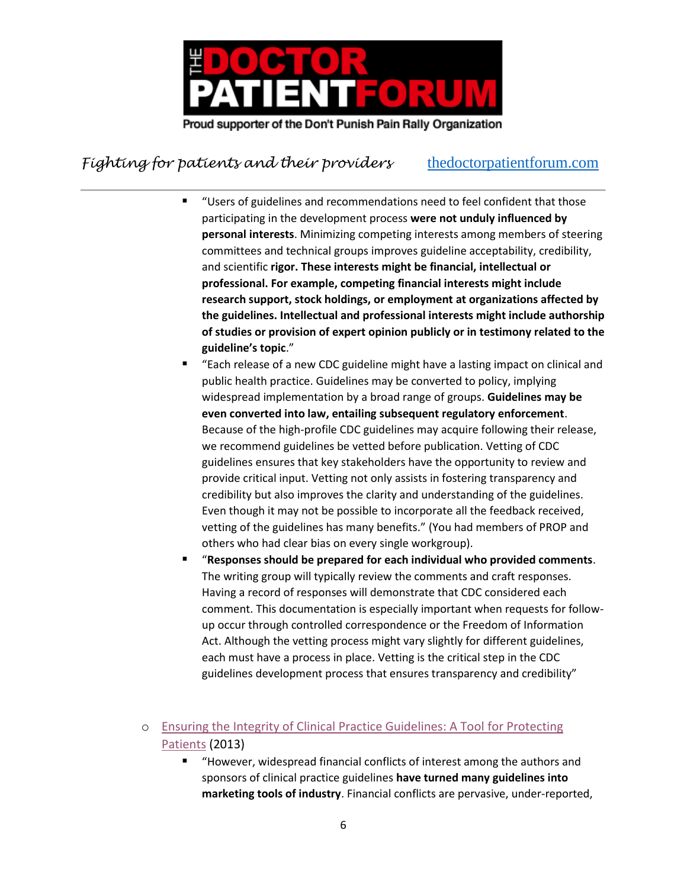

- "Users of guidelines and recommendations need to feel confident that those participating in the development process **were not unduly influenced by personal interests**. Minimizing competing interests among members of steering committees and technical groups improves guideline acceptability, credibility, and scientific **rigor. These interests might be financial, intellectual or professional. For example, competing financial interests might include research support, stock holdings, or employment at organizations affected by the guidelines. Intellectual and professional interests might include authorship of studies or provision of expert opinion publicly or in testimony related to the guideline's topic**."
- "Each release of a new CDC guideline might have a lasting impact on clinical and public health practice. Guidelines may be converted to policy, implying widespread implementation by a broad range of groups. **Guidelines may be even converted into law, entailing subsequent regulatory enforcement**. Because of the high-profile CDC guidelines may acquire following their release, we recommend guidelines be vetted before publication. Vetting of CDC guidelines ensures that key stakeholders have the opportunity to review and provide critical input. Vetting not only assists in fostering transparency and credibility but also improves the clarity and understanding of the guidelines. Even though it may not be possible to incorporate all the feedback received, vetting of the guidelines has many benefits." (You had members of PROP and others who had clear bias on every single workgroup).
- "**Responses should be prepared for each individual who provided comments**. The writing group will typically review the comments and craft responses. Having a record of responses will demonstrate that CDC considered each comment. This documentation is especially important when requests for followup occur through controlled correspondence or the Freedom of Information Act. Although the vetting process might vary slightly for different guidelines, each must have a process in place. Vetting is the critical step in the CDC guidelines development process that ensures transparency and credibility"
- o [Ensuring the Integrity of Clinical Practice Guidelines: A Tool for Protecting](https://pubmed.ncbi.nlm.nih.gov/24046286/)  [Patients](https://pubmed.ncbi.nlm.nih.gov/24046286/) (2013)
	- "However, widespread financial conflicts of interest among the authors and sponsors of clinical practice guidelines **have turned many guidelines into marketing tools of industry**. Financial conflicts are pervasive, under-reported,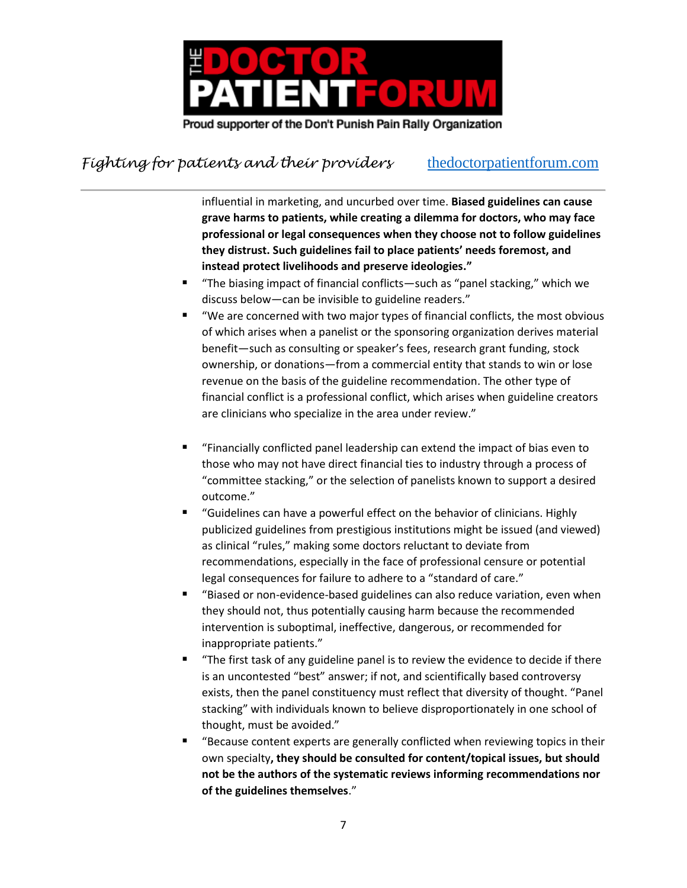

influential in marketing, and uncurbed over time. **Biased guidelines can cause grave harms to patients, while creating a dilemma for doctors, who may face professional or legal consequences when they choose not to follow guidelines they distrust. Such guidelines fail to place patients' needs foremost, and instead protect livelihoods and preserve ideologies."**

- "The biasing impact of financial conflicts—such as "panel stacking," which we discuss below—can be invisible to guideline readers."
- "We are concerned with two major types of financial conflicts, the most obvious of which arises when a panelist or the sponsoring organization derives material benefit—such as consulting or speaker's fees, research grant funding, stock ownership, or donations—from a commercial entity that stands to win or lose revenue on the basis of the guideline recommendation. The other type of financial conflict is a professional conflict, which arises when guideline creators are clinicians who specialize in the area under review."
- "Financially conflicted panel leadership can extend the impact of bias even to those who may not have direct financial ties to industry through a process of "committee stacking," or the selection of panelists known to support a desired outcome."
- "Guidelines can have a powerful effect on the behavior of clinicians. Highly publicized guidelines from prestigious institutions might be issued (and viewed) as clinical "rules," making some doctors reluctant to deviate from recommendations, especially in the face of professional censure or potential legal consequences for failure to adhere to a "standard of care."
- "Biased or non-evidence-based guidelines can also reduce variation, even when they should not, thus potentially causing harm because the recommended intervention is suboptimal, ineffective, dangerous, or recommended for inappropriate patients."
- "The first task of any guideline panel is to review the evidence to decide if there is an uncontested "best" answer; if not, and scientifically based controversy exists, then the panel constituency must reflect that diversity of thought. "Panel stacking" with individuals known to believe disproportionately in one school of thought, must be avoided."
- "Because content experts are generally conflicted when reviewing topics in their own specialty**, they should be consulted for content/topical issues, but should not be the authors of the systematic reviews informing recommendations nor of the guidelines themselves**."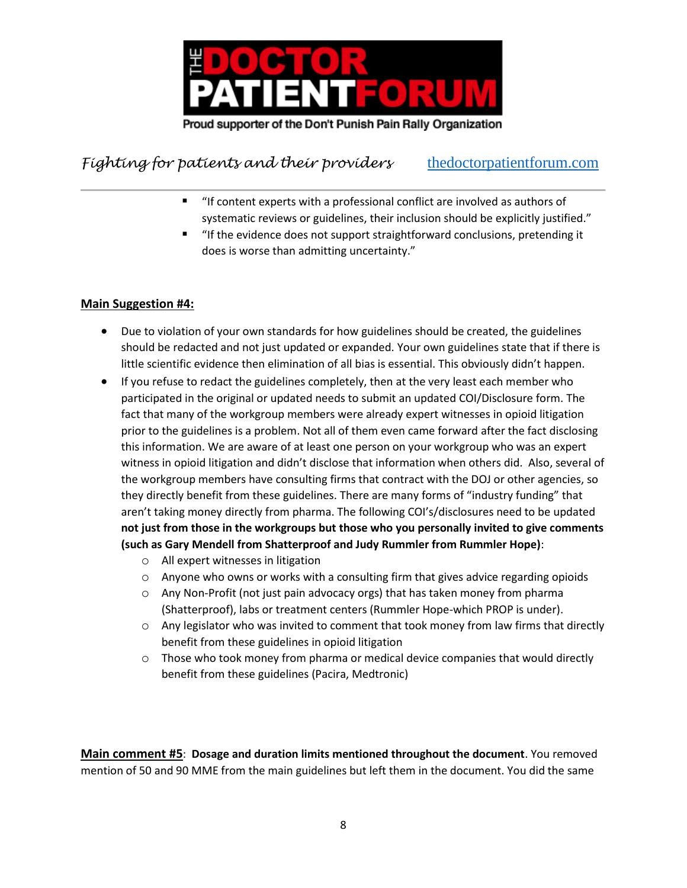

- "If content experts with a professional conflict are involved as authors of systematic reviews or guidelines, their inclusion should be explicitly justified."
- "If the evidence does not support straightforward conclusions, pretending it does is worse than admitting uncertainty."

#### **Main Suggestion #4:**

- Due to violation of your own standards for how guidelines should be created, the guidelines should be redacted and not just updated or expanded. Your own guidelines state that if there is little scientific evidence then elimination of all bias is essential. This obviously didn't happen.
- If you refuse to redact the guidelines completely, then at the very least each member who participated in the original or updated needs to submit an updated COI/Disclosure form. The fact that many of the workgroup members were already expert witnesses in opioid litigation prior to the guidelines is a problem. Not all of them even came forward after the fact disclosing this information. We are aware of at least one person on your workgroup who was an expert witness in opioid litigation and didn't disclose that information when others did. Also, several of the workgroup members have consulting firms that contract with the DOJ or other agencies, so they directly benefit from these guidelines. There are many forms of "industry funding" that aren't taking money directly from pharma. The following COI's/disclosures need to be updated **not just from those in the workgroups but those who you personally invited to give comments (such as Gary Mendell from Shatterproof and Judy Rummler from Rummler Hope)**:
	- o All expert witnesses in litigation
	- $\circ$  Anyone who owns or works with a consulting firm that gives advice regarding opioids
	- o Any Non-Profit (not just pain advocacy orgs) that has taken money from pharma (Shatterproof), labs or treatment centers (Rummler Hope-which PROP is under).
	- $\circ$  Any legislator who was invited to comment that took money from law firms that directly benefit from these guidelines in opioid litigation
	- $\circ$  Those who took money from pharma or medical device companies that would directly benefit from these guidelines (Pacira, Medtronic)

**Main comment #5**: **Dosage and duration limits mentioned throughout the document**. You removed mention of 50 and 90 MME from the main guidelines but left them in the document. You did the same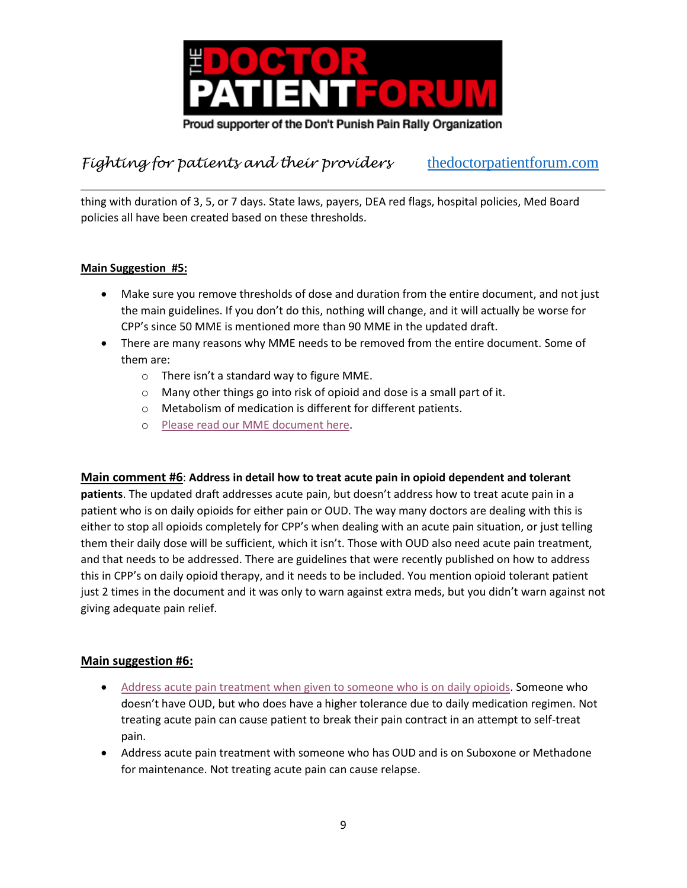

thing with duration of 3, 5, or 7 days. State laws, payers, DEA red flags, hospital policies, Med Board policies all have been created based on these thresholds.

#### **Main Suggestion #5:**

- Make sure you remove thresholds of dose and duration from the entire document, and not just the main guidelines. If you don't do this, nothing will change, and it will actually be worse for CPP's since 50 MME is mentioned more than 90 MME in the updated draft.
- There are many reasons why MME needs to be removed from the entire document. Some of them are:
	- o There isn't a standard way to figure MME.
	- o Many other things go into risk of opioid and dose is a small part of it.
	- o Metabolism of medication is different for different patients.
	- o [Please read our MME document here.](https://www.thedoctorpatientforum.com/resources/debunking-lies#MME1)

#### **Main comment #6**: **Address in detail how to treat acute pain in opioid dependent and tolerant**

**patients**. The updated draft addresses acute pain, but doesn't address how to treat acute pain in a patient who is on daily opioids for either pain or OUD. The way many doctors are dealing with this is either to stop all opioids completely for CPP's when dealing with an acute pain situation, or just telling them their daily dose will be sufficient, which it isn't. Those with OUD also need acute pain treatment, and that needs to be addressed. There are guidelines that were recently published on how to address this in CPP's on daily opioid therapy, and it needs to be included. You mention opioid tolerant patient just 2 times in the document and it was only to warn against extra meds, but you didn't warn against not giving adequate pain relief.

#### **Main suggestion #6:**

- [Address acute pain treatment when given to someone who is on daily opioids.](https://www.painnewsnetwork.org/stories/2022/3/10/15-medical-societies-release-new-advice-for-treating-surgery-pain-in-patients-already-on-opioids) Someone who doesn't have OUD, but who does have a higher tolerance due to daily medication regimen. Not treating acute pain can cause patient to break their pain contract in an attempt to self-treat pain.
- Address acute pain treatment with someone who has OUD and is on Suboxone or Methadone for maintenance. Not treating acute pain can cause relapse.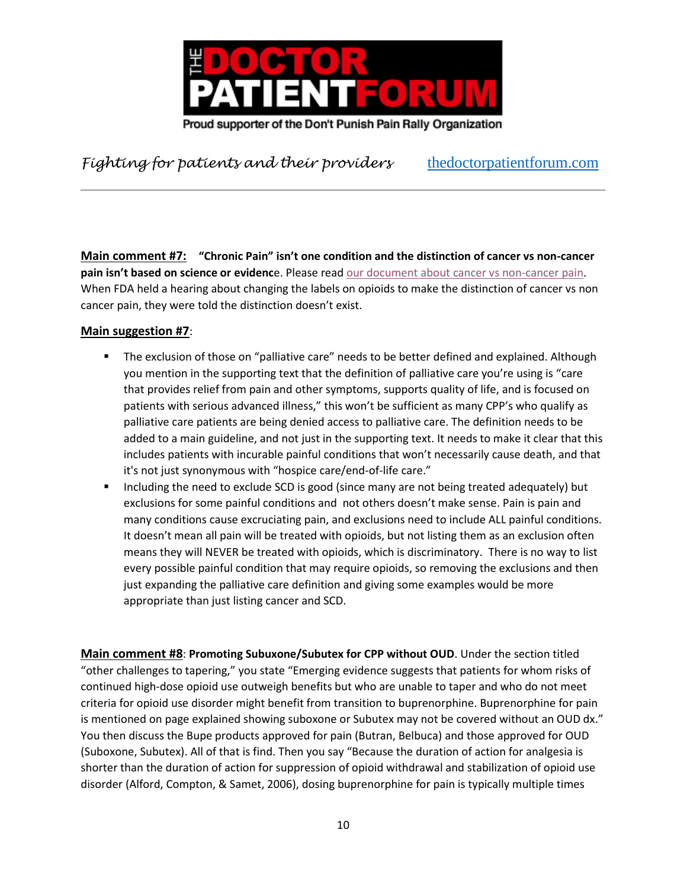

**Main comment #7: "Chronic Pain" isn't one condition and the distinction of cancer vs non-cancer pain isn't based on science or evidenc**e. Please read [our document about cancer vs non-cancer pain.](https://www.thedoctorpatientforum.com/resources/articles#Cancerlie1) When FDA held a hearing about changing the labels on opioids to make the distinction of cancer vs non cancer pain, they were told the distinction doesn't exist.

#### **Main suggestion #7**:

- **•** The exclusion of those on "palliative care" needs to be better defined and explained. Although you mention in the supporting text that the definition of palliative care you're using is "care that provides relief from pain and other symptoms, supports quality of life, and is focused on patients with serious advanced illness," this won't be sufficient as many CPP's who qualify as palliative care patients are being denied access to palliative care. The definition needs to be added to a main guideline, and not just in the supporting text. It needs to make it clear that this includes patients with incurable painful conditions that won't necessarily cause death, and that it's not just synonymous with "hospice care/end-of-life care."
- Including the need to exclude SCD is good (since many are not being treated adequately) but exclusions for some painful conditions and not others doesn't make sense. Pain is pain and many conditions cause excruciating pain, and exclusions need to include ALL painful conditions. It doesn't mean all pain will be treated with opioids, but not listing them as an exclusion often means they will NEVER be treated with opioids, which is discriminatory. There is no way to list every possible painful condition that may require opioids, so removing the exclusions and then just expanding the palliative care definition and giving some examples would be more appropriate than just listing cancer and SCD.

**Main comment #8**: **Promoting Subuxone/Subutex for CPP without OUD**. Under the section titled "other challenges to tapering," you state "Emerging evidence suggests that patients for whom risks of continued high-dose opioid use outweigh benefits but who are unable to taper and who do not meet criteria for opioid use disorder might benefit from transition to buprenorphine. Buprenorphine for pain is mentioned on page explained showing suboxone or Subutex may not be covered without an OUD dx." You then discuss the Bupe products approved for pain (Butran, Belbuca) and those approved for OUD (Suboxone, Subutex). All of that is find. Then you say "Because the duration of action for analgesia is shorter than the duration of action for suppression of opioid withdrawal and stabilization of opioid use disorder (Alford, Compton, & Samet, 2006), dosing buprenorphine for pain is typically multiple times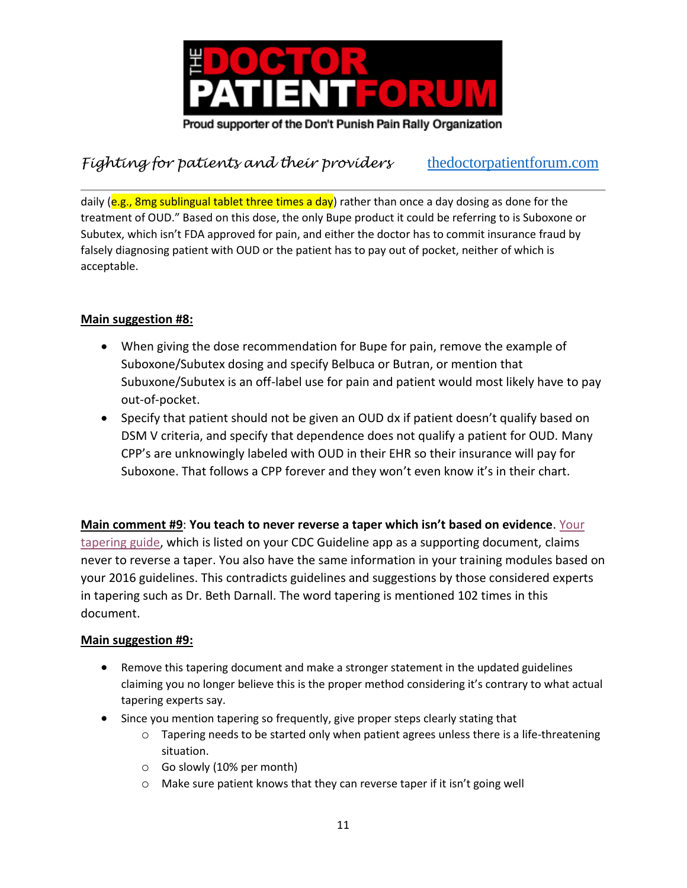

daily (e.g., 8mg sublingual tablet three times a day) rather than once a day dosing as done for the treatment of OUD." Based on this dose, the only Bupe product it could be referring to is Suboxone or Subutex, which isn't FDA approved for pain, and either the doctor has to commit insurance fraud by falsely diagnosing patient with OUD or the patient has to pay out of pocket, neither of which is acceptable.

### **Main suggestion #8:**

- When giving the dose recommendation for Bupe for pain, remove the example of Suboxone/Subutex dosing and specify Belbuca or Butran, or mention that Subuxone/Subutex is an off-label use for pain and patient would most likely have to pay out-of-pocket.
- Specify that patient should not be given an OUD dx if patient doesn't qualify based on DSM V criteria, and specify that dependence does not qualify a patient for OUD. Many CPP's are unknowingly labeled with OUD in their EHR so their insurance will pay for Suboxone. That follows a CPP forever and they won't even know it's in their chart.

**Main comment #9**: **You teach to never reverse a taper which isn't based on evidence**. [Your](https://www.cdc.gov/drugoverdose/pdf/clinical_pocket_guide_tapering-a.pdf)  [tapering guide,](https://www.cdc.gov/drugoverdose/pdf/clinical_pocket_guide_tapering-a.pdf) which is listed on your CDC Guideline app as a supporting document, claims never to reverse a taper. You also have the same information in your training modules based on your 2016 guidelines. This contradicts guidelines and suggestions by those considered experts in tapering such as Dr. Beth Darnall. The word tapering is mentioned 102 times in this document.

### **Main suggestion #9:**

- Remove this tapering document and make a stronger statement in the updated guidelines claiming you no longer believe this is the proper method considering it's contrary to what actual tapering experts say.
- Since you mention tapering so frequently, give proper steps clearly stating that
	- $\circ$  Tapering needs to be started only when patient agrees unless there is a life-threatening situation.
	- o Go slowly (10% per month)
	- o Make sure patient knows that they can reverse taper if it isn't going well